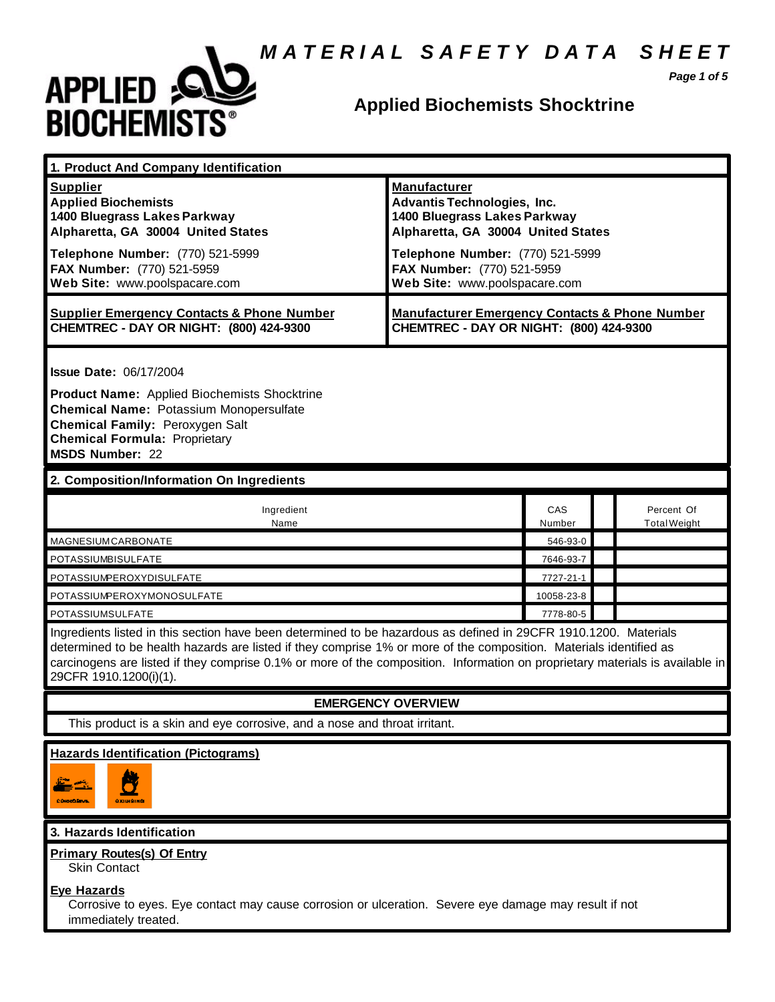# *M A T E R I A L S A F E T Y D A T A S H E E T*



# **Applied Biochemists Shocktrine**

*Page 1 of 5*

| 1. Product And Company Identification                                                                                                                                                                                                                                                                                                                                                             |                                                                                                                                 |               |                                   |
|---------------------------------------------------------------------------------------------------------------------------------------------------------------------------------------------------------------------------------------------------------------------------------------------------------------------------------------------------------------------------------------------------|---------------------------------------------------------------------------------------------------------------------------------|---------------|-----------------------------------|
| <b>Supplier</b><br><b>Applied Biochemists</b><br>1400 Bluegrass Lakes Parkway<br>Alpharetta, GA 30004 United States                                                                                                                                                                                                                                                                               | <b>Manufacturer</b><br><b>Advantis Technologies, Inc.</b><br>1400 Bluegrass Lakes Parkway<br>Alpharetta, GA 30004 United States |               |                                   |
| Telephone Number: (770) 521-5999<br>FAX Number: (770) 521-5959<br>Web Site: www.poolspacare.com                                                                                                                                                                                                                                                                                                   | Telephone Number: (770) 521-5999<br>FAX Number: (770) 521-5959<br>Web Site: www.poolspacare.com                                 |               |                                   |
| <b>Supplier Emergency Contacts &amp; Phone Number</b><br>CHEMTREC - DAY OR NIGHT: (800) 424-9300                                                                                                                                                                                                                                                                                                  | <b>Manufacturer Emergency Contacts &amp; Phone Number</b><br>CHEMTREC - DAY OR NIGHT: (800) 424-9300                            |               |                                   |
| <b>Issue Date: 06/17/2004</b><br><b>Product Name:</b> Applied Biochemists Shocktrine<br><b>Chemical Name: Potassium Monopersulfate</b><br>Chemical Family: Peroxygen Salt<br><b>Chemical Formula: Proprietary</b>                                                                                                                                                                                 |                                                                                                                                 |               |                                   |
| <b>MSDS Number: 22</b>                                                                                                                                                                                                                                                                                                                                                                            |                                                                                                                                 |               |                                   |
| 2. Composition/Information On Ingredients                                                                                                                                                                                                                                                                                                                                                         |                                                                                                                                 |               |                                   |
| Ingredient<br>Name                                                                                                                                                                                                                                                                                                                                                                                |                                                                                                                                 | CAS<br>Number | Percent Of<br><b>Total Weight</b> |
| MAGNESIUMCARBONATE                                                                                                                                                                                                                                                                                                                                                                                |                                                                                                                                 | 546-93-0      |                                   |
| POTASSIUMBISULFATE                                                                                                                                                                                                                                                                                                                                                                                |                                                                                                                                 | 7646-93-7     |                                   |
| POTASSIUMPEROXYDISULFATE                                                                                                                                                                                                                                                                                                                                                                          |                                                                                                                                 | 7727-21-1     |                                   |
| POTASSIUMPEROXYMONOSULFATE                                                                                                                                                                                                                                                                                                                                                                        |                                                                                                                                 | 10058-23-8    |                                   |
| POTASSIUMSULFATE                                                                                                                                                                                                                                                                                                                                                                                  |                                                                                                                                 | 7778-80-5     |                                   |
| Ingredients listed in this section have been determined to be hazardous as defined in 29CFR 1910.1200. Materials<br>determined to be health hazards are listed if they comprise 1% or more of the composition. Materials identified as<br>carcinogens are listed if they comprise 0.1% or more of the composition. Information on proprietary materials is available in<br>29CFR 1910.1200(i)(1). |                                                                                                                                 |               |                                   |
| <b>EMERGENCY OVERVIEW</b>                                                                                                                                                                                                                                                                                                                                                                         |                                                                                                                                 |               |                                   |
| This product is a skin and eye corrosive, and a nose and throat irritant.                                                                                                                                                                                                                                                                                                                         |                                                                                                                                 |               |                                   |
| <b>Hazards Identification (Pictograms)</b><br>N.<br>$\mathbb{Z}^3$<br>CONNOCRAVE.<br>охинаний                                                                                                                                                                                                                                                                                                     |                                                                                                                                 |               |                                   |

### **3. Hazards Identification**

### **Primary Routes(s) Of Entry**

Skin Contact

### **Eye Hazards**

Corrosive to eyes. Eye contact may cause corrosion or ulceration. Severe eye damage may result if not immediately treated.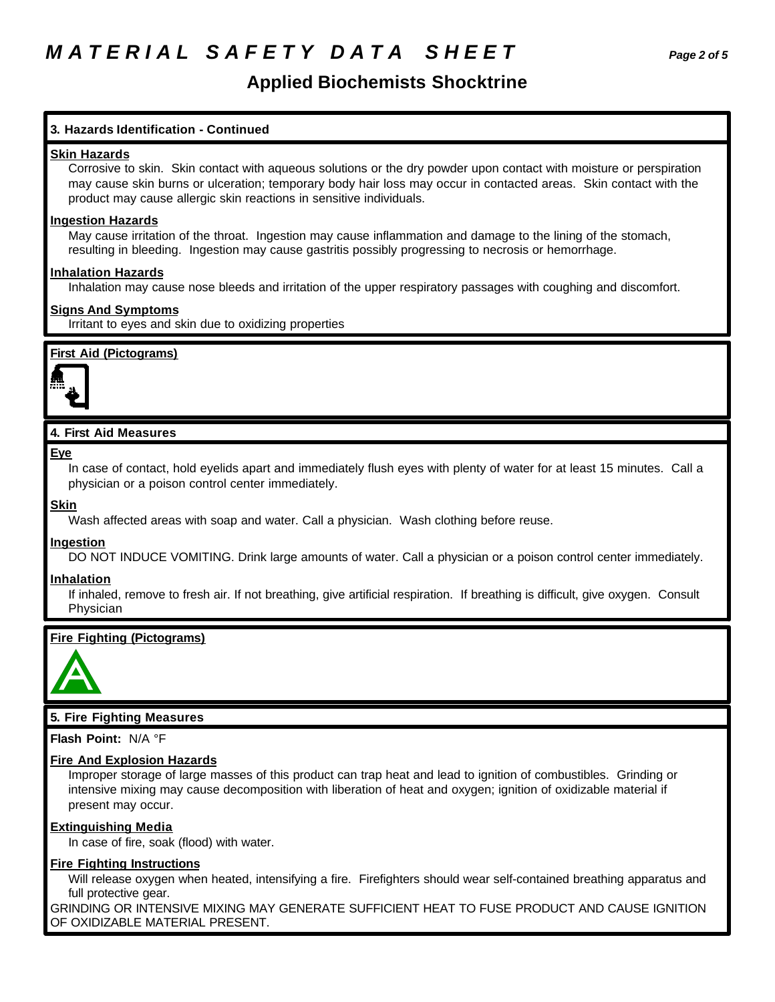# **Applied Biochemists Shocktrine**

### **3. Hazards Identification - Continued**

### **Skin Hazards**

Corrosive to skin. Skin contact with aqueous solutions or the dry powder upon contact with moisture or perspiration may cause skin burns or ulceration; temporary body hair loss may occur in contacted areas. Skin contact with the product may cause allergic skin reactions in sensitive individuals.

### **Ingestion Hazards**

May cause irritation of the throat. Ingestion may cause inflammation and damage to the lining of the stomach, resulting in bleeding. Ingestion may cause gastritis possibly progressing to necrosis or hemorrhage.

### **Inhalation Hazards**

Inhalation may cause nose bleeds and irritation of the upper respiratory passages with coughing and discomfort.

### **Signs And Symptoms**

Irritant to eyes and skin due to oxidizing properties

### **First Aid (Pictograms)**



### **4. First Aid Measures**

### **Eye**

In case of contact, hold eyelids apart and immediately flush eyes with plenty of water for at least 15 minutes. Call a physician or a poison control center immediately.

### **Skin**

Wash affected areas with soap and water. Call a physician. Wash clothing before reuse.

### **Ingestion**

DO NOT INDUCE VOMITING. Drink large amounts of water. Call a physician or a poison control center immediately.

### **Inhalation**

If inhaled, remove to fresh air. If not breathing, give artificial respiration. If breathing is difficult, give oxygen. Consult Physician

### **Fire Fighting (Pictograms)**



### **5. Fire Fighting Measures**

**Flash Point:** N/A °F

### **Fire And Explosion Hazards**

Improper storage of large masses of this product can trap heat and lead to ignition of combustibles. Grinding or intensive mixing may cause decomposition with liberation of heat and oxygen; ignition of oxidizable material if present may occur.

### **Extinguishing Media**

In case of fire, soak (flood) with water.

### **Fire Fighting Instructions**

Will release oxygen when heated, intensifying a fire. Firefighters should wear self-contained breathing apparatus and full protective gear.

GRINDING OR INTENSIVE MIXING MAY GENERATE SUFFICIENT HEAT TO FUSE PRODUCT AND CAUSE IGNITION OF OXIDIZABLE MATERIAL PRESENT.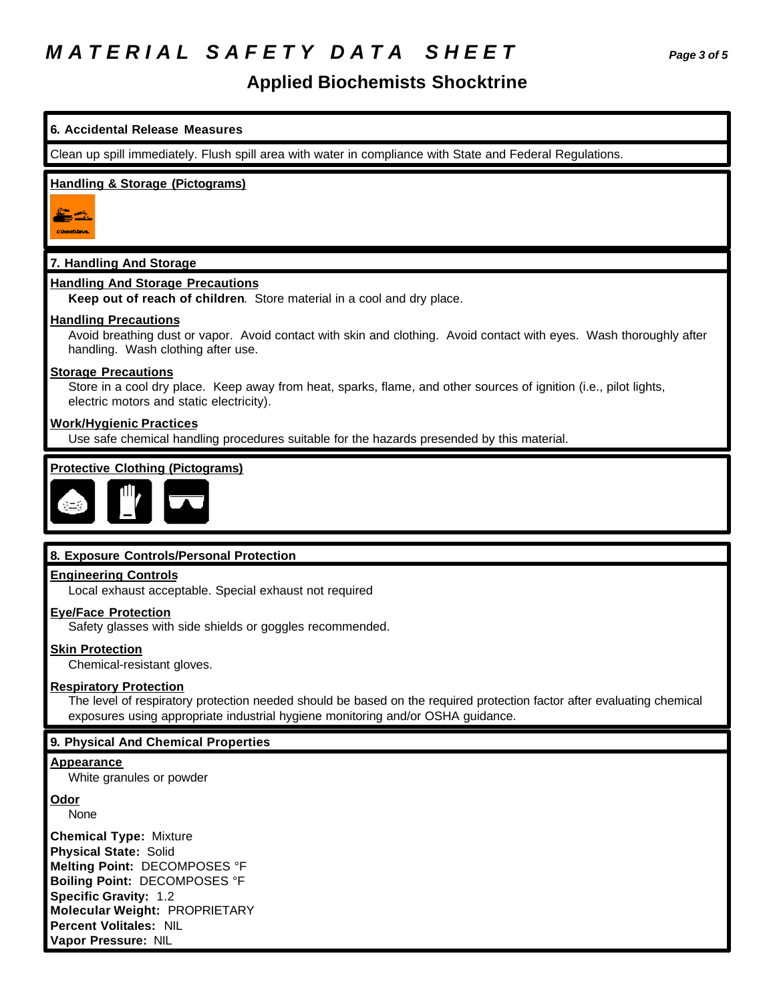# *M A T E R I A L S A F E T Y D A T A S H E E T Page 3 of 5*

## **Applied Biochemists Shocktrine**

**6. Accidental Release Measures** Clean up spill immediately. Flush spill area with water in compliance with State and Federal Regulations. **Handling & Storage (Pictograms)** <u>Eg</u> **COIDIDENS 7. Handling And Storage Handling And Storage Precautions Keep out of reach of children**. Store material in a cool and dry place. **Handling Precautions** Avoid breathing dust or vapor. Avoid contact with skin and clothing. Avoid contact with eyes. Wash thoroughly after handling. Wash clothing after use. **Storage Precautions** Store in a cool dry place. Keep away from heat, sparks, flame, and other sources of ignition (i.e., pilot lights, electric motors and static electricity). **Work/Hygienic Practices** Use safe chemical handling procedures suitable for the hazards presended by this material. **Protective Clothing (Pictograms) 8. Exposure Controls/Personal Protection Engineering Controls** Local exhaust acceptable. Special exhaust not required **Eye/Face Protection** Safety glasses with side shields or goggles recommended. **Skin Protection** Chemical-resistant gloves. **Respiratory Protection** The level of respiratory protection needed should be based on the required protection factor after evaluating chemical exposures using appropriate industrial hygiene monitoring and/or OSHA guidance. **9. Physical And Chemical Properties Appearance** White granules or powder

**Odor**

None

**Chemical Type:** Mixture **Physical State:** Solid **Melting Point:** DECOMPOSES °F **Boiling Point:** DECOMPOSES °F **Specific Gravity:** 1.2 **Molecular Weight:** PROPRIETARY **Percent Volitales:** NIL **Vapor Pressure:** NIL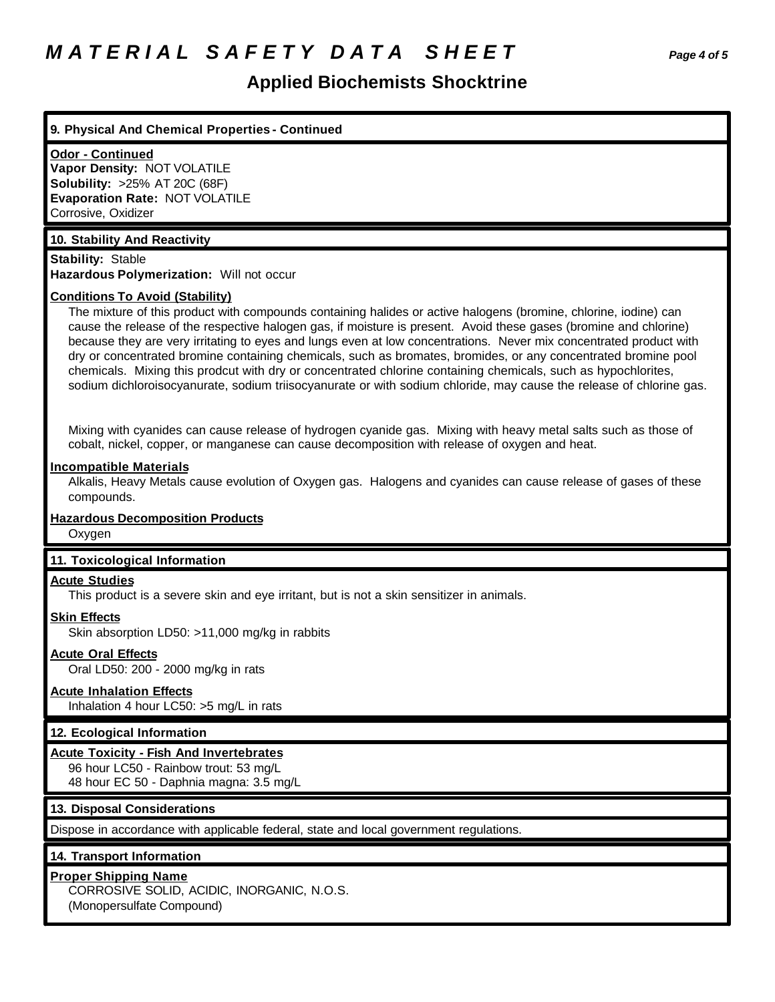# *M A T E R I A L S A F E T Y D A T A S H E E T Page 4 of 5*

## **Applied Biochemists Shocktrine**

### **9. Physical And Chemical Properties - Continued**

#### **Odor - Continued**

**Vapor Density:** NOT VOLATILE **Solubility:** >25% AT 20C (68F) **Evaporation Rate:** NOT VOLATILE Corrosive, Oxidizer

### **10. Stability And Reactivity**

**Stability:** Stable **Hazardous Polymerization:** Will not occur

### **Conditions To Avoid (Stability)**

The mixture of this product with compounds containing halides or active halogens (bromine, chlorine, iodine) can cause the release of the respective halogen gas, if moisture is present. Avoid these gases (bromine and chlorine) because they are very irritating to eyes and lungs even at low concentrations. Never mix concentrated product with dry or concentrated bromine containing chemicals, such as bromates, bromides, or any concentrated bromine pool chemicals. Mixing this prodcut with dry or concentrated chlorine containing chemicals, such as hypochlorites, sodium dichloroisocyanurate, sodium triisocyanurate or with sodium chloride, may cause the release of chlorine gas.

Mixing with cyanides can cause release of hydrogen cyanide gas. Mixing with heavy metal salts such as those of cobalt, nickel, copper, or manganese can cause decomposition with release of oxygen and heat.

#### **Incompatible Materials**

Alkalis, Heavy Metals cause evolution of Oxygen gas. Halogens and cyanides can cause release of gases of these compounds.

## **Hazardous Decomposition Products**

**Oxygen** 

#### **11. Toxicological Information**

#### **Acute Studies**

This product is a severe skin and eye irritant, but is not a skin sensitizer in animals.

## **Skin Effects**

Skin absorption LD50: >11,000 mg/kg in rabbits

### **Acute Oral Effects**

Oral LD50: 200 - 2000 mg/kg in rats

### **Acute Inhalation Effects**

Inhalation 4 hour LC50: >5 mg/L in rats

### **12. Ecological Information**

#### **Acute Toxicity - Fish And Invertebrates**

96 hour LC50 - Rainbow trout: 53 mg/L 48 hour EC 50 - Daphnia magna: 3.5 mg/L

### **13. Disposal Considerations**

Dispose in accordance with applicable federal, state and local government regulations.

### **14. Transport Information**

### **Proper Shipping Name**

CORROSIVE SOLID, ACIDIC, INORGANIC, N.O.S. (Monopersulfate Compound)